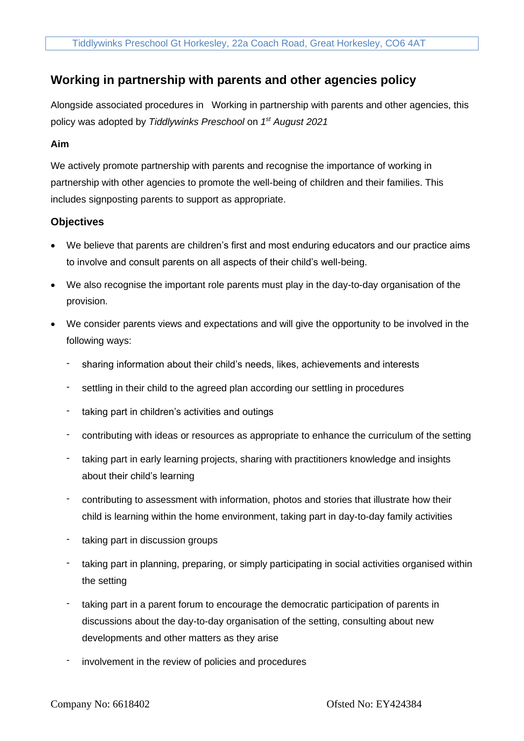# **Working in partnership with parents and other agencies policy**

Alongside associated procedures in Working in partnership with parents and other agencies, this policy was adopted by *Tiddlywinks Preschool* on *1 st August 2021*

## **Aim**

We actively promote partnership with parents and recognise the importance of working in partnership with other agencies to promote the well-being of children and their families. This includes signposting parents to support as appropriate.

## **Objectives**

- We believe that parents are children's first and most enduring educators and our practice aims to involve and consult parents on all aspects of their child's well-being.
- We also recognise the important role parents must play in the day-to-day organisation of the provision.
- We consider parents views and expectations and will give the opportunity to be involved in the following ways:
	- sharing information about their child's needs, likes, achievements and interests
	- settling in their child to the agreed plan according our settling in procedures
	- taking part in children's activities and outings
	- contributing with ideas or resources as appropriate to enhance the curriculum of the setting
	- taking part in early learning projects, sharing with practitioners knowledge and insights about their child's learning
	- contributing to assessment with information, photos and stories that illustrate how their child is learning within the home environment, taking part in day-to-day family activities
	- taking part in discussion groups
	- taking part in planning, preparing, or simply participating in social activities organised within the setting
	- taking part in a parent forum to encourage the democratic participation of parents in discussions about the day-to-day organisation of the setting, consulting about new developments and other matters as they arise
	- involvement in the review of policies and procedures